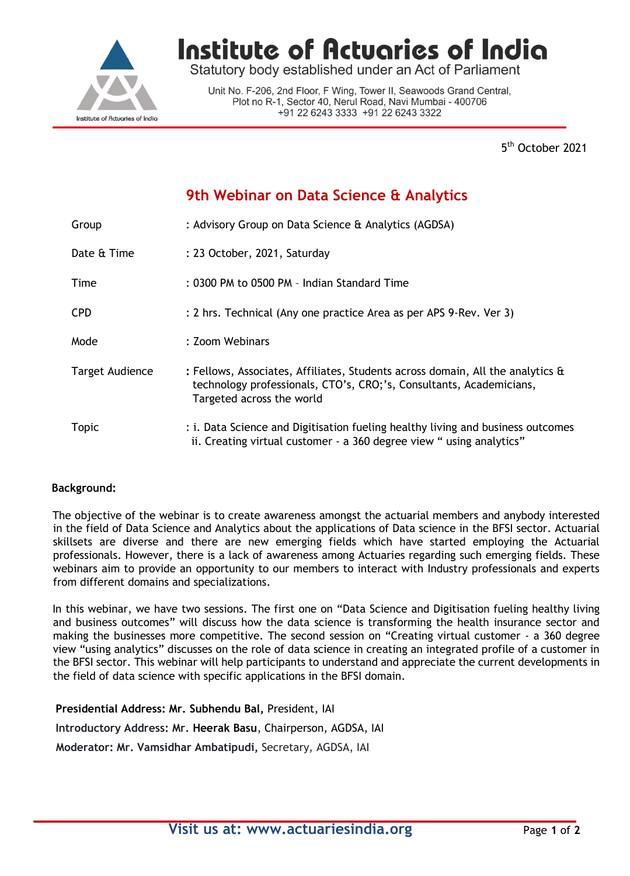

Institute of Actuaries of India

Statutory body established under an Act of Parliament

Unit No. F-206, 2nd Floor, F Wing, Tower II, Seawoods Grand Central, Plot no R-1, Sector 40, Nerul Road, Navi Mumbai - 400706 +91 22 6243 3333 +91 22 6243 3322

> 5 5<sup>th</sup> October 2021

## **9th Webinar on Data Science & Analytics**

| Group           | : Advisory Group on Data Science & Analytics (AGDSA)                                                                                                                                       |  |
|-----------------|--------------------------------------------------------------------------------------------------------------------------------------------------------------------------------------------|--|
| Date & Time     | : 23 October, 2021, Saturday                                                                                                                                                               |  |
| Time            | : 0300 PM to 0500 PM - Indian Standard Time                                                                                                                                                |  |
| <b>CPD</b>      | : 2 hrs. Technical (Any one practice Area as per APS 9-Rev. Ver 3)                                                                                                                         |  |
| Mode            | : Zoom Webinars                                                                                                                                                                            |  |
| Target Audience | : Fellows, Associates, Affiliates, Students across domain, All the analytics $\hat{a}$<br>technology professionals, CTO's, CRO;'s, Consultants, Academicians,<br>Targeted across the world |  |
| <b>Topic</b>    | : i. Data Science and Digitisation fueling healthy living and business outcomes<br>ii. Creating virtual customer - a 360 degree view " using analytics"                                    |  |

## **Background:**

The objective of the webinar is to create awareness amongst the actuarial members and anybody interested in the field of Data Science and Analytics about the applications of Data science in the BFSI sector. Actuarial skillsets are diverse and there are new emerging fields which have started employing the Actuarial professionals. However, there is a lack of awareness among Actuaries regarding such emerging fields. These webinars aim to provide an opportunity to our members to interact with Industry professionals and experts from different domains and specializations.

In this webinar, we have two sessions. The first one on "Data Science and Digitisation fueling healthy living and business outcomes" will discuss how the data science is transforming the health insurance sector and making the businesses more competitive. The second session on "Creating virtual customer - a 360 degree view "using analytics" discusses on the role of data science in creating an integrated profile of a customer in the BFSI sector. This webinar will help participants to understand and appreciate the current developments in the field of data science with specific applications in the BFSI domain.

**Presidential Address: Mr. Subhendu Bal,** President, IAI **Introductory Address: Mr. Heerak Basu**, Chairperson, AGDSA, IAI **Moderator: Mr. Vamsidhar Ambatipudi,** Secretary, AGDSA, IAI